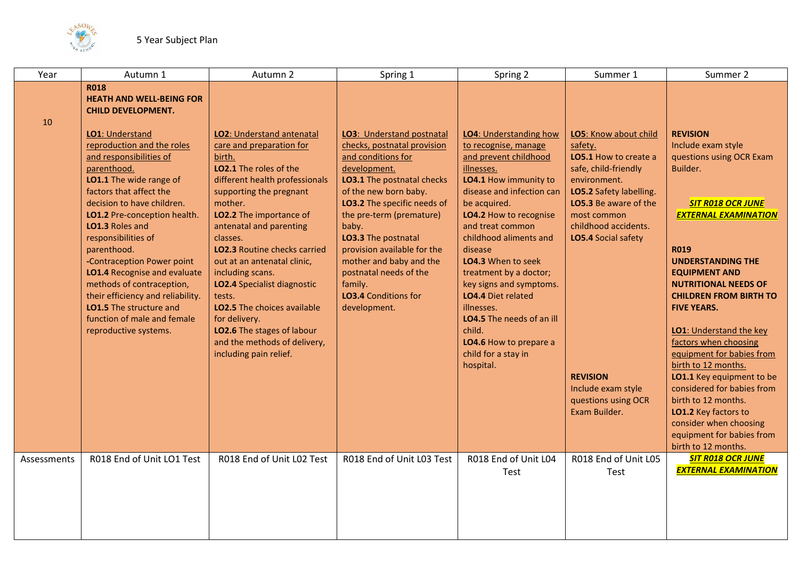

| Year        | Autumn 1                                                                                                                                                                                                                                                                                                                                                                                                                                                                                                                                                                      | Autumn 2                                                                                                                                                                                                                                                                                                                                                                                                                                                                                                              | Spring 1                                                                                                                                                                                                                                                                                                                                                                                       | Spring 2                                                                                                                                                                                                                                                                                                                                                                                                                                                                  | Summer 1                                                                                                                                                                                                                                                                                             | Summer 2                                                                                                                                                                                                                                                                                                                                                                                                                                                                                                                                                                                          |
|-------------|-------------------------------------------------------------------------------------------------------------------------------------------------------------------------------------------------------------------------------------------------------------------------------------------------------------------------------------------------------------------------------------------------------------------------------------------------------------------------------------------------------------------------------------------------------------------------------|-----------------------------------------------------------------------------------------------------------------------------------------------------------------------------------------------------------------------------------------------------------------------------------------------------------------------------------------------------------------------------------------------------------------------------------------------------------------------------------------------------------------------|------------------------------------------------------------------------------------------------------------------------------------------------------------------------------------------------------------------------------------------------------------------------------------------------------------------------------------------------------------------------------------------------|---------------------------------------------------------------------------------------------------------------------------------------------------------------------------------------------------------------------------------------------------------------------------------------------------------------------------------------------------------------------------------------------------------------------------------------------------------------------------|------------------------------------------------------------------------------------------------------------------------------------------------------------------------------------------------------------------------------------------------------------------------------------------------------|---------------------------------------------------------------------------------------------------------------------------------------------------------------------------------------------------------------------------------------------------------------------------------------------------------------------------------------------------------------------------------------------------------------------------------------------------------------------------------------------------------------------------------------------------------------------------------------------------|
| 10          | <b>R018</b><br><b>HEATH AND WELL-BEING FOR</b><br><b>CHILD DEVELOPMENT.</b><br>LO1: Understand<br>reproduction and the roles<br>and responsibilities of<br>parenthood.<br>LO1.1 The wide range of<br>factors that affect the<br>decision to have children.<br>LO1.2 Pre-conception health.<br><b>LO1.3 Roles and</b><br>responsibilities of<br>parenthood.<br>-Contraception Power point<br>LO1.4 Recognise and evaluate<br>methods of contraception,<br>their efficiency and reliability.<br>LO1.5 The structure and<br>function of male and female<br>reproductive systems. | LO2: Understand antenatal<br>care and preparation for<br>birth.<br>LO2.1 The roles of the<br>different health professionals<br>supporting the pregnant<br>mother.<br>LO2.2 The importance of<br>antenatal and parenting<br>classes.<br><b>LO2.3</b> Routine checks carried<br>out at an antenatal clinic,<br>including scans.<br>LO2.4 Specialist diagnostic<br>tests.<br><b>LO2.5</b> The choices available<br>for delivery.<br>LO2.6 The stages of labour<br>and the methods of delivery,<br>including pain relief. | <b>LO3: Understand postnatal</b><br>checks, postnatal provision<br>and conditions for<br>development.<br>LO3.1 The postnatal checks<br>of the new born baby.<br>LO3.2 The specific needs of<br>the pre-term (premature)<br>baby.<br>LO3.3 The postnatal<br>provision available for the<br>mother and baby and the<br>postnatal needs of the<br>family.<br>LO3.4 Conditions for<br>development. | <b>LO4: Understanding how</b><br>to recognise, manage<br>and prevent childhood<br>illnesses.<br>LO4.1 How immunity to<br>disease and infection can<br>be acquired.<br>LO4.2 How to recognise<br>and treat common<br>childhood aliments and<br>disease<br>LO4.3 When to seek<br>treatment by a doctor;<br>key signs and symptoms.<br>LO4.4 Diet related<br>illnesses.<br>LO4.5 The needs of an ill<br>child.<br>LO4.6 How to prepare a<br>child for a stay in<br>hospital. | LO5: Know about child<br>safety.<br>LO5.1 How to create a<br>safe, child-friendly<br>environment.<br>LO5.2 Safety labelling.<br>LO5.3 Be aware of the<br>most common<br>childhood accidents.<br>LO5.4 Social safety<br><b>REVISION</b><br>Include exam style<br>questions using OCR<br>Exam Builder. | <b>REVISION</b><br>Include exam style<br>questions using OCR Exam<br>Builder.<br><b>SIT R018 OCR JUNE</b><br><b>EXTERNAL EXAMINATION</b><br><b>R019</b><br><b>UNDERSTANDING THE</b><br><b>EQUIPMENT AND</b><br><b>NUTRITIONAL NEEDS OF</b><br><b>CHILDREN FROM BIRTH TO</b><br><b>FIVE YEARS.</b><br>LO1: Understand the key<br>factors when choosing<br>equipment for babies from<br>birth to 12 months.<br>LO1.1 Key equipment to be<br>considered for babies from<br>birth to 12 months.<br>LO1.2 Key factors to<br>consider when choosing<br>equipment for babies from<br>birth to 12 months. |
| Assessments | R018 End of Unit LO1 Test                                                                                                                                                                                                                                                                                                                                                                                                                                                                                                                                                     | R018 End of Unit L02 Test                                                                                                                                                                                                                                                                                                                                                                                                                                                                                             | R018 End of Unit L03 Test                                                                                                                                                                                                                                                                                                                                                                      | R018 End of Unit L04<br>Test                                                                                                                                                                                                                                                                                                                                                                                                                                              | R018 End of Unit L05<br>Test                                                                                                                                                                                                                                                                         | <b>SIT R018 OCR JUNE</b><br><b>EXTERNAL EXAMINATION</b>                                                                                                                                                                                                                                                                                                                                                                                                                                                                                                                                           |